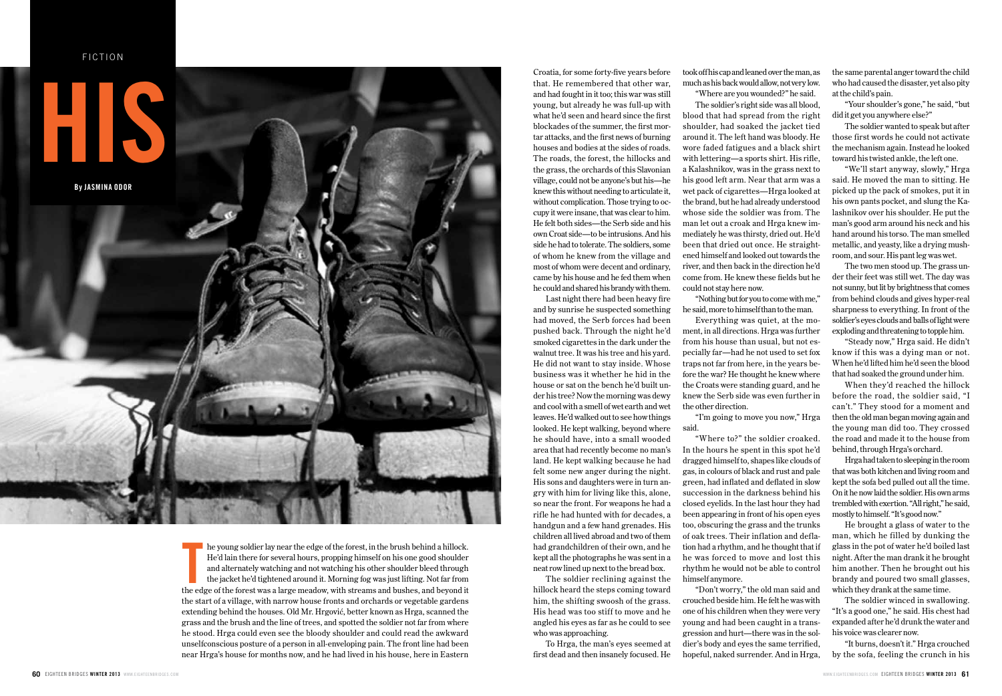FICTION



he young soldier lay near the edge of the forest, in the brush behind a hillock. He'd lain there for several hours, propping himself on his one good shoulder and alternately watching and not watching his other shoulder bleed through the jacket he'd tightened around it. Morning fog was just lifting. Not far from the young soldier lay near the edge of the forest, in the brush behind a hillock.<br>He'd lain there for several hours, propping himself on his one good shoulder<br>and alternately watching and not watching his other shoulder bl the start of a village, with narrow house fronts and orchards or vegetable gardens extending behind the houses. Old Mr. Hrgović, better known as Hrga, scanned the grass and the brush and the line of trees, and spotted the soldier not far from where he stood. Hrga could even see the bloody shoulder and could read the awkward unselfconscious posture of a person in all-enveloping pain. The front line had been near Hrga's house for months now, and he had lived in his house, here in Eastern

Croatia, for some forty-five years before that. He remembered that other war, and had fought in it too; this war was still young, but already he was full-up with what he'd seen and heard since the first blockades of the summer, the first mortar attacks, and the first news of burning houses and bodies at the sides of roads. The roads, the forest, the hillocks and the grass, the orchards of this Slavonian village, could not be anyone's but his—he knew this without needing to articulate it, without complication. Those trying to occupy it were insane, that was clear to him. He felt both sides—the Serb side and his own Croat side—to be intrusions. And his side he had to tolerate. The soldiers, some of whom he knew from the village and most of whom were decent and ordinary, came by his house and he fed them when he could and shared his brandy with them.

Last night there had been heavy fire and by sunrise he suspected something had moved, the Serb forces had been pushed back. Through the night he'd smoked cigarettes in the dark under the walnut tree. It was his tree and his yard. He did not want to stay inside. Whose business was it whether he hid in the house or sat on the bench he'd built under his tree? Now the morning was dewy and cool with a smell of wet earth and wet leaves. He'd walked out to see how things looked. He kept walking, beyond where he should have, into a small wooded area that had recently become no man's land. He kept walking because he had felt some new anger during the night. His sons and daughters were in turn angry with him for living like this, alone, so near the front. For weapons he had a rifle he had hunted with for decades, a handgun and a few hand grenades. His children all lived abroad and two of them had grandchildren of their own, and he kept all the photographs he was sent in a neat row lined up next to the bread box.

The soldier reclining against the hillock heard the steps coming toward him, the shifting swoosh of the grass. His head was too stiff to move and he angled his eyes as far as he could to see who was approaching.

To Hrga, the man's eyes seemed at first dead and then insanely focused. He took off his cap and leaned over the man, as much as his back would allow, not very low. "Where are you wounded?" he said.

The soldier's right side was all blood, blood that had spread from the right shoulder, had soaked the jacket tied around it. The left hand was bloody. He wore faded fatigues and a black shirt with lettering—a sports shirt. His rifle, a Kalashnikov, was in the grass next to his good left arm. Near that arm was a wet pack of cigarettes—Hrga looked at the brand, but he had already understood whose side the soldier was from. The man let out a croak and Hrga knew immediately he was thirsty, dried out. He'd been that dried out once. He straightened himself and looked out towards the river, and then back in the direction he'd come from. He knew these fields but he could not stay here now.

"Nothing but for you to come with me," he said, more to himself than to the man.

Everything was quiet, at the moment, in all directions. Hrga was further from his house than usual, but not especially far—had he not used to set fox traps not far from here, in the years before the war? He thought he knew where the Croats were standing guard, and he knew the Serb side was even further in the other direction.

"I'm going to move you now," Hrga said.

"Where to?" the soldier croaked. In the hours he spent in this spot he'd dragged himself to, shapes like clouds of gas, in colours of black and rust and pale green, had inflated and deflated in slow succession in the darkness behind his closed eyelids. In the last hour they had been appearing in front of his open eyes too, obscuring the grass and the trunks of oak trees. Their inflation and deflation had a rhythm, and he thought that if he was forced to move and lost this rhythm he would not be able to control himself anymore.

"Don't worry," the old man said and crouched beside him. He felt he was with one of his children when they were very young and had been caught in a transgression and hurt—there was in the soldier's body and eyes the same terrified, hopeful, naked surrender. And in Hrga, the same parental anger toward the child who had caused the disaster, yet also pity at the child's pain.

"Your shoulder's gone," he said, "but did it get you anywhere else?"

The soldier wanted to speak but after those first words he could not activate the mechanism again. Instead he looked toward his twisted ankle, the left one.

"We'll start anyway, slowly," Hrga said. He moved the man to sitting. He picked up the pack of smokes, put it in his own pants pocket, and slung the Kalashnikov over his shoulder. He put the man's good arm around his neck and his hand around his torso. The man smelled metallic, and yeasty, like a drying mushroom, and sour. His pant leg was wet.

The two men stood up. The grass under their feet was still wet. The day was not sunny, but lit by brightness that comes from behind clouds and gives hyper-real sharpness to everything. In front of the soldier's eyes clouds and balls of light were exploding and threatening to topple him.

"Steady now," Hrga said. He didn't know if this was a dying man or not. When he'd lifted him he'd seen the blood that had soaked the ground under him.

When they'd reached the hillock before the road, the soldier said, "I can't." They stood for a moment and then the old man began moving again and the young man did too. They crossed the road and made it to the house from behind, through Hrga's orchard.

Hrga had taken to sleeping in the room that was both kitchen and living room and kept the sofa bed pulled out all the time. On it he now laid the soldier. His own arms trembled with exertion. "All right," he said, mostly to himself. "It's good now."

He brought a glass of water to the man, which he filled by dunking the glass in the pot of water he'd boiled last night. After the man drank it he brought him another. Then he brought out his brandy and poured two small glasses, which they drank at the same time.

The soldier winced in swallowing. "It's a good one," he said. His chest had expanded after he'd drunk the water and his voice was clearer now.

"It burns, doesn't it." Hrga crouched by the sofa, feeling the crunch in his